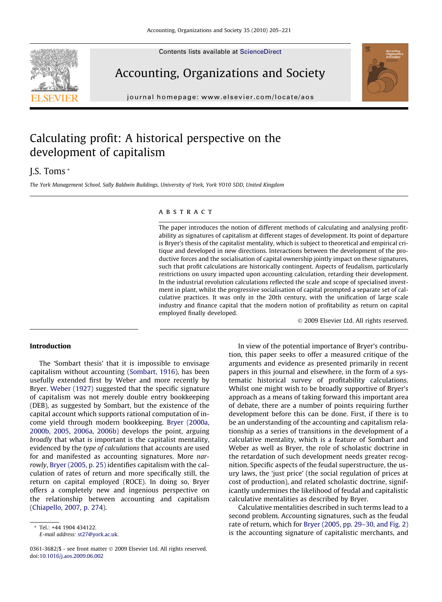Contents lists available at [ScienceDirect](http://www.sciencedirect.com/science/journal/03613682)





Accounting, Organizations and Society

journal homepage: [www.elsevier.com/locate/aos](http://www.elsevier.com/locate/aos)

## Calculating profit: A historical perspective on the development of capitalism

### J.S. Toms \*

The York Management School, Sally Baldwin Buildings, University of York, York YO10 5DD, United Kingdom

#### **ARSTRACT**

The paper introduces the notion of different methods of calculating and analysing profitability as signatures of capitalism at different stages of development. Its point of departure is Bryer's thesis of the capitalist mentality, which is subject to theoretical and empirical critique and developed in new directions. Interactions between the development of the productive forces and the socialisation of capital ownership jointly impact on these signatures, such that profit calculations are historically contingent. Aspects of feudalism, particularly restrictions on usury impacted upon accounting calculation, retarding their development. In the industrial revolution calculations reflected the scale and scope of specialised investment in plant, whilst the progressive socialisation of capital prompted a separate set of calculative practices. It was only in the 20th century, with the unification of large scale industry and finance capital that the modern notion of profitability as return on capital employed finally developed.

- 2009 Elsevier Ltd. All rights reserved.

#### Introduction

The 'Sombart thesis' that it is impossible to envisage capitalism without accounting ([Sombart, 1916\)](#page--1-0), has been usefully extended first by Weber and more recently by Bryer. [Weber \(1927\)](#page--1-0) suggested that the specific signature of capitalism was not merely double entry bookkeeping (DEB), as suggested by Sombart, but the existence of the capital account which supports rational computation of income yield through modern bookkeeping. [Bryer \(2000a,](#page--1-0) [2000b, 2005, 2006a, 2006b\)](#page--1-0) develops the point, arguing broadly that what is important is the capitalist mentality, evidenced by the type of calculations that accounts are used for and manifested as accounting signatures. More narrowly, [Bryer \(2005, p. 25\)](#page--1-0) identifies capitalism with the calculation of rates of return and more specifically still, the return on capital employed (ROCE). In doing so, Bryer offers a completely new and ingenious perspective on the relationship between accounting and capitalism ([Chiapello, 2007, p. 274\)](#page--1-0).

In view of the potential importance of Bryer's contribution, this paper seeks to offer a measured critique of the arguments and evidence as presented primarily in recent papers in this journal and elsewhere, in the form of a systematic historical survey of profitability calculations. Whilst one might wish to be broadly supportive of Bryer's approach as a means of taking forward this important area of debate, there are a number of points requiring further development before this can be done. First, if there is to be an understanding of the accounting and capitalism relationship as a series of transitions in the development of a calculative mentality, which is a feature of Sombart and Weber as well as Bryer, the role of scholastic doctrine in the retardation of such development needs greater recognition. Specific aspects of the feudal superstructure, the usury laws, the 'just price' (the social regulation of prices at cost of production), and related scholastic doctrine, significantly undermines the likelihood of feudal and capitalistic calculative mentalities as described by Bryer.

Calculative mentalities described in such terms lead to a second problem. Accounting signatures, such as the feudal rate of return, which for [Bryer \(2005, pp. 29–30, and Fig. 2\)](#page--1-0) is the accounting signature of capitalistic merchants, and

<sup>\*</sup> Tel.: +44 1904 434122. E-mail address: [st27@york.ac.uk.](mailto:st27@york.ac.uk)

<sup>0361-3682/\$ -</sup> see front matter © 2009 Elsevier Ltd. All rights reserved. doi:[10.1016/j.aos.2009.06.002](http://dx.doi.org/10.1016/j.aos.2009.06.002)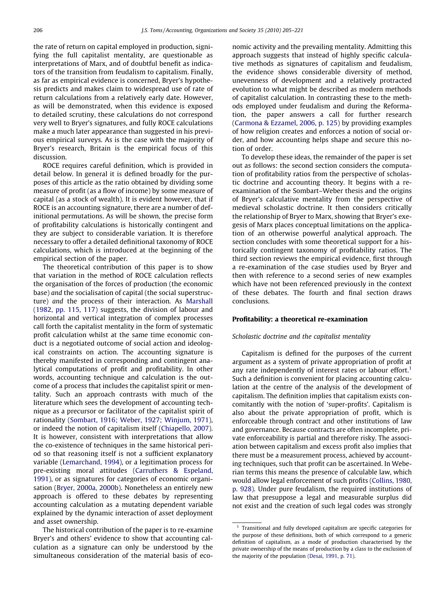the rate of return on capital employed in production, signifying the full capitalist mentality, are questionable as interpretations of Marx, and of doubtful benefit as indicators of the transition from feudalism to capitalism. Finally, as far as empirical evidence is concerned, Bryer's hypothesis predicts and makes claim to widespread use of rate of return calculations from a relatively early date. However, as will be demonstrated, when this evidence is exposed to detailed scrutiny, these calculations do not correspond very well to Bryer's signatures, and fully ROCE calculations make a much later appearance than suggested in his previous empirical surveys. As is the case with the majority of Bryer's research, Britain is the empirical focus of this discussion.

ROCE requires careful definition, which is provided in detail below. In general it is defined broadly for the purposes of this article as the ratio obtained by dividing some measure of profit (as a flow of income) by some measure of capital (as a stock of wealth). It is evident however, that if ROCE is an accounting signature, there are a number of definitional permutations. As will be shown, the precise form of profitability calculations is historically contingent and they are subject to considerable variation. It is therefore necessary to offer a detailed definitional taxonomy of ROCE calculations, which is introduced at the beginning of the empirical section of the paper.

The theoretical contribution of this paper is to show that variation in the method of ROCE calculation reflects the organisation of the forces of production (the economic base) and the socialisation of capital (the social superstructure) and the process of their interaction. As [Marshall](#page--1-0) [\(1982, pp. 115, 117\)](#page--1-0) suggests, the division of labour and horizontal and vertical integration of complex processes call forth the capitalist mentality in the form of systematic profit calculation whilst at the same time economic conduct is a negotiated outcome of social action and ideological constraints on action. The accounting signature is thereby manifested in corresponding and contingent analytical computations of profit and profitability. In other words, accounting technique and calculation is the outcome of a process that includes the capitalist spirit or mentality. Such an approach contrasts with much of the literature which sees the development of accounting technique as a precursor or facilitator of the capitalist spirit of rationality ([Sombart, 1916; Weber, 1927; Winjum, 1971](#page--1-0)), or indeed the notion of capitalism itself ([Chiapello, 2007](#page--1-0)). It is however, consistent with interpretations that allow the co-existence of techniques in the same historical period so that reasoning itself is not a sufficient explanatory variable [\(Lemarchand, 1994](#page--1-0)), or a legitimation process for pre-existing moral attitudes ([Carruthers & Espeland,](#page--1-0) [1991](#page--1-0)), or as signatures for categories of economic organisation ([Bryer, 2000a, 2000b\)](#page--1-0). Nonetheless an entirely new approach is offered to these debates by representing accounting calculation as a mutating dependent variable explained by the dynamic interaction of asset deployment and asset ownership.

The historical contribution of the paper is to re-examine Bryer's and others' evidence to show that accounting calculation as a signature can only be understood by the simultaneous consideration of the material basis of eco-

nomic activity and the prevailing mentality. Admitting this approach suggests that instead of highly specific calculative methods as signatures of capitalism and feudalism, the evidence shows considerable diversity of method, unevenness of development and a relatively protracted evolution to what might be described as modern methods of capitalist calculation. In contrasting these to the methods employed under feudalism and during the Reformation, the paper answers a call for further research [\(Carmona & Ezzamel, 2006, p. 125\)](#page--1-0) by providing examples of how religion creates and enforces a notion of social order, and how accounting helps shape and secure this notion of order.

To develop these ideas, the remainder of the paper is set out as follows: the second section considers the computation of profitability ratios from the perspective of scholastic doctrine and accounting theory. It begins with a reexamination of the Sombart–Weber thesis and the origins of Bryer's calculative mentality from the perspective of medieval scholastic doctrine. It then considers critically the relationship of Bryer to Marx, showing that Bryer's exegesis of Marx places conceptual limitations on the application of an otherwise powerful analytical approach. The section concludes with some theoretical support for a historically contingent taxonomy of profitability ratios. The third section reviews the empirical evidence, first through a re-examination of the case studies used by Bryer and then with reference to a second series of new examples which have not been referenced previously in the context of these debates. The fourth and final section draws conclusions.

#### Profitability: a theoretical re-examination

#### Scholastic doctrine and the capitalist mentality

Capitalism is defined for the purposes of the current argument as a system of private appropriation of profit at any rate independently of interest rates or labour effort.<sup>1</sup> Such a definition is convenient for placing accounting calculation at the centre of the analysis of the development of capitalism. The definition implies that capitalism exists concomitantly with the notion of 'super-profits'. Capitalism is also about the private appropriation of profit, which is enforceable through contract and other institutions of law and governance. Because contracts are often incomplete, private enforceability is partial and therefore risky. The association between capitalism and excess profit also implies that there must be a measurement process, achieved by accounting techniques, such that profit can be ascertained. In Weberian terms this means the presence of calculable law, which would allow legal enforcement of such profits [\(Collins, 1980,](#page--1-0) [p. 928\)](#page--1-0). Under pure feudalism, the required institutions of law that presuppose a legal and measurable surplus did not exist and the creation of such legal codes was strongly

<sup>&</sup>lt;sup>1</sup> Transitional and fully developed capitalism are specific categories for the purpose of these definitions, both of which correspond to a generic definition of capitalism, as a mode of production characterised by the private ownership of the means of production by a class to the exclusion of the majority of the population [\(Desai, 1991, p. 71](#page--1-0)).